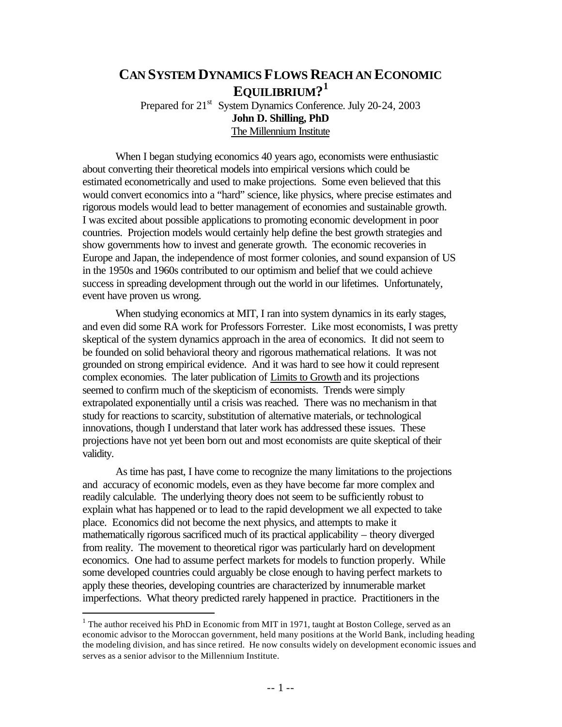# **CAN SYSTEM DYNAMICS FLOWS REACH AN ECONOMIC EQUILIBRIUM? 1** Prepared for 21<sup>st</sup> System Dynamics Conference. July 20-24, 2003

**John D. Shilling, PhD** The Millennium Institute

When I began studying economics 40 years ago, economists were enthusiastic about converting their theoretical models into empirical versions which could be estimated econometrically and used to make projections. Some even believed that this would convert economics into a "hard" science, like physics, where precise estimates and rigorous models would lead to better management of economies and sustainable growth. I was excited about possible applications to promoting economic development in poor countries. Projection models would certainly help define the best growth strategies and show governments how to invest and generate growth. The economic recoveries in Europe and Japan, the independence of most former colonies, and sound expansion of US in the 1950s and 1960s contributed to our optimism and belief that we could achieve success in spreading development through out the world in our lifetimes. Unfortunately, event have proven us wrong.

When studying economics at MIT, I ran into system dynamics in its early stages, and even did some RA work for Professors Forrester. Like most economists, I was pretty skeptical of the system dynamics approach in the area of economics. It did not seem to be founded on solid behavioral theory and rigorous mathematical relations. It was not grounded on strong empirical evidence. And it was hard to see how it could represent complex economies. The later publication of Limits to Growth and its projections seemed to confirm much of the skepticism of economists. Trends were simply extrapolated exponentially until a crisis was reached. There was no mechanism in that study for reactions to scarcity, substitution of alternative materials, or technological innovations, though I understand that later work has addressed these issues. These projections have not yet been born out and most economists are quite skeptical of their validity.

As time has past, I have come to recognize the many limitations to the projections and accuracy of economic models, even as they have become far more complex and readily calculable. The underlying theory does not seem to be sufficiently robust to explain what has happened or to lead to the rapid development we all expected to take place. Economics did not become the next physics, and attempts to make it mathematically rigorous sacrificed much of its practical applicability – theory diverged from reality. The movement to theoretical rigor was particularly hard on development economics. One had to assume perfect markets for models to function properly. While some developed countries could arguably be close enough to having perfect markets to apply these theories, developing countries are characterized by innumerable market imperfections. What theory predicted rarely happened in practice. Practitioners in the

 $\overline{a}$ 

<sup>&</sup>lt;sup>1</sup> The author received his PhD in Economic from MIT in 1971, taught at Boston College, served as an economic advisor to the Moroccan government, held many positions at the World Bank, including heading the modeling division, and has since retired. He now consults widely on development economic issues and serves as a senior advisor to the Millennium Institute.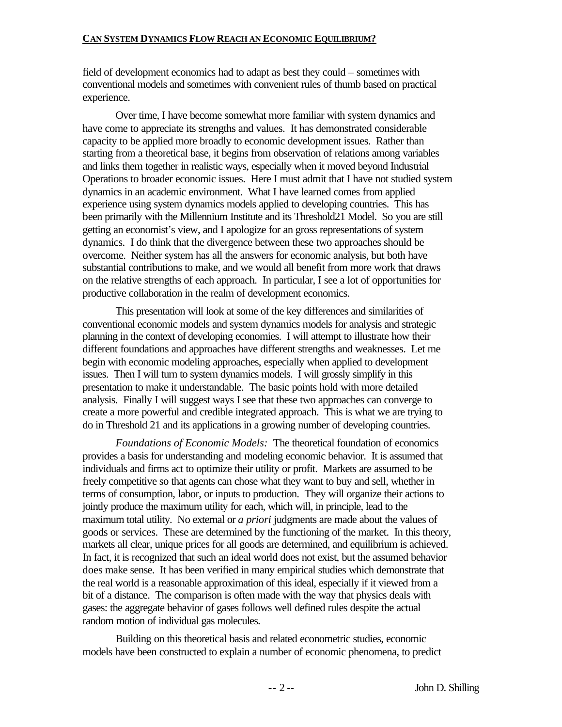field of development economics had to adapt as best they could – sometimes with conventional models and sometimes with convenient rules of thumb based on practical experience.

Over time, I have become somewhat more familiar with system dynamics and have come to appreciate its strengths and values. It has demonstrated considerable capacity to be applied more broadly to economic development issues. Rather than starting from a theoretical base, it begins from observation of relations among variables and links them together in realistic ways, especially when it moved beyond Industrial Operations to broader economic issues. Here I must admit that I have not studied system dynamics in an academic environment. What I have learned comes from applied experience using system dynamics models applied to developing countries. This has been primarily with the Millennium Institute and its Threshold21 Model. So you are still getting an economist's view, and I apologize for an gross representations of system dynamics. I do think that the divergence between these two approaches should be overcome. Neither system has all the answers for economic analysis, but both have substantial contributions to make, and we would all benefit from more work that draws on the relative strengths of each approach. In particular, I see a lot of opportunities for productive collaboration in the realm of development economics.

This presentation will look at some of the key differences and similarities of conventional economic models and system dynamics models for analysis and strategic planning in the context of developing economies. I will attempt to illustrate how their different foundations and approaches have different strengths and weaknesses. Let me begin with economic modeling approaches, especially when applied to development issues. Then I will turn to system dynamics models. I will grossly simplify in this presentation to make it understandable. The basic points hold with more detailed analysis. Finally I will suggest ways I see that these two approaches can converge to create a more powerful and credible integrated approach. This is what we are trying to do in Threshold 21 and its applications in a growing number of developing countries.

*Foundations of Economic Models:* The theoretical foundation of economics provides a basis for understanding and modeling economic behavior. It is assumed that individuals and firms act to optimize their utility or profit. Markets are assumed to be freely competitive so that agents can chose what they want to buy and sell, whether in terms of consumption, labor, or inputs to production. They will organize their actions to jointly produce the maximum utility for each, which will, in principle, lead to the maximum total utility. No external or *a priori* judgments are made about the values of goods or services. These are determined by the functioning of the market. In this theory, markets all clear, unique prices for all goods are determined, and equilibrium is achieved. In fact, it is recognized that such an ideal world does not exist, but the assumed behavior does make sense. It has been verified in many empirical studies which demonstrate that the real world is a reasonable approximation of this ideal, especially if it viewed from a bit of a distance. The comparison is often made with the way that physics deals with gases: the aggregate behavior of gases follows well defined rules despite the actual random motion of individual gas molecules.

Building on this theoretical basis and related econometric studies, economic models have been constructed to explain a number of economic phenomena, to predict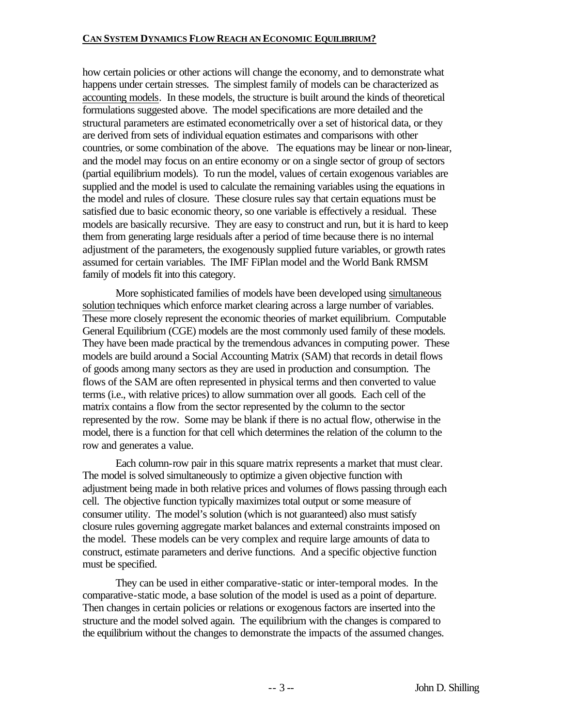how certain policies or other actions will change the economy, and to demonstrate what happens under certain stresses. The simplest family of models can be characterized as accounting models. In these models, the structure is built around the kinds of theoretical formulations suggested above. The model specifications are more detailed and the structural parameters are estimated econometrically over a set of historical data, or they are derived from sets of individual equation estimates and comparisons with other countries, or some combination of the above. The equations may be linear or non-linear, and the model may focus on an entire economy or on a single sector of group of sectors (partial equilibrium models). To run the model, values of certain exogenous variables are supplied and the model is used to calculate the remaining variables using the equations in the model and rules of closure. These closure rules say that certain equations must be satisfied due to basic economic theory, so one variable is effectively a residual. These models are basically recursive. They are easy to construct and run, but it is hard to keep them from generating large residuals after a period of time because there is no internal adjustment of the parameters, the exogenously supplied future variables, or growth rates assumed for certain variables. The IMF FiPlan model and the World Bank RMSM family of models fit into this category.

More sophisticated families of models have been developed using simultaneous solution techniques which enforce market clearing across a large number of variables. These more closely represent the economic theories of market equilibrium. Computable General Equilibrium (CGE) models are the most commonly used family of these models. They have been made practical by the tremendous advances in computing power. These models are build around a Social Accounting Matrix (SAM) that records in detail flows of goods among many sectors as they are used in production and consumption. The flows of the SAM are often represented in physical terms and then converted to value terms (i.e., with relative prices) to allow summation over all goods. Each cell of the matrix contains a flow from the sector represented by the column to the sector represented by the row. Some may be blank if there is no actual flow, otherwise in the model, there is a function for that cell which determines the relation of the column to the row and generates a value.

Each column-row pair in this square matrix represents a market that must clear. The model is solved simultaneously to optimize a given objective function with adjustment being made in both relative prices and volumes of flows passing through each cell. The objective function typically maximizes total output or some measure of consumer utility. The model's solution (which is not guaranteed) also must satisfy closure rules governing aggregate market balances and external constraints imposed on the model. These models can be very complex and require large amounts of data to construct, estimate parameters and derive functions. And a specific objective function must be specified.

They can be used in either comparative-static or inter-temporal modes. In the comparative-static mode, a base solution of the model is used as a point of departure. Then changes in certain policies or relations or exogenous factors are inserted into the structure and the model solved again. The equilibrium with the changes is compared to the equilibrium without the changes to demonstrate the impacts of the assumed changes.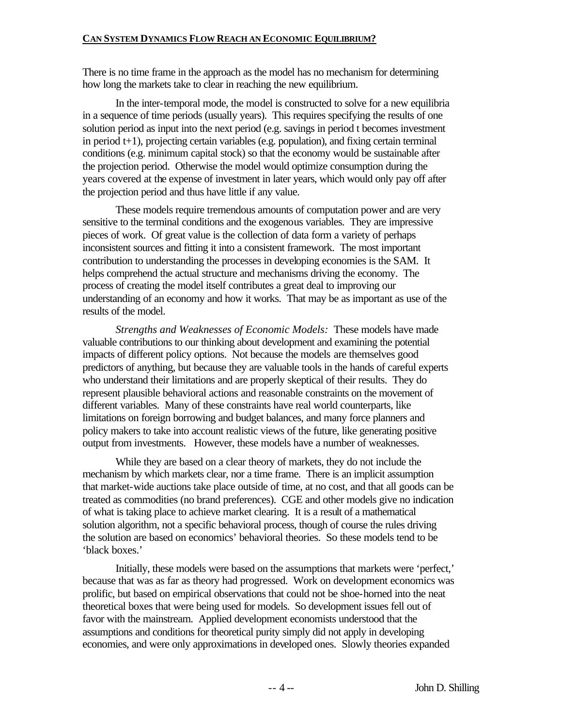There is no time frame in the approach as the model has no mechanism for determining how long the markets take to clear in reaching the new equilibrium.

In the inter-temporal mode, the model is constructed to solve for a new equilibria in a sequence of time periods (usually years). This requires specifying the results of one solution period as input into the next period (e.g. savings in period t becomes investment in period t+1), projecting certain variables (e.g. population), and fixing certain terminal conditions (e.g. minimum capital stock) so that the economy would be sustainable after the projection period. Otherwise the model would optimize consumption during the years covered at the expense of investment in later years, which would only pay off after the projection period and thus have little if any value.

These models require tremendous amounts of computation power and are very sensitive to the terminal conditions and the exogenous variables. They are impressive pieces of work. Of great value is the collection of data form a variety of perhaps inconsistent sources and fitting it into a consistent framework. The most important contribution to understanding the processes in developing economies is the SAM. It helps comprehend the actual structure and mechanisms driving the economy. The process of creating the model itself contributes a great deal to improving our understanding of an economy and how it works. That may be as important as use of the results of the model.

*Strengths and Weaknesses of Economic Models:* These models have made valuable contributions to our thinking about development and examining the potential impacts of different policy options. Not because the models are themselves good predictors of anything, but because they are valuable tools in the hands of careful experts who understand their limitations and are properly skeptical of their results. They do represent plausible behavioral actions and reasonable constraints on the movement of different variables. Many of these constraints have real world counterparts, like limitations on foreign borrowing and budget balances, and many force planners and policy makers to take into account realistic views of the future, like generating positive output from investments. However, these models have a number of weaknesses.

While they are based on a clear theory of markets, they do not include the mechanism by which markets clear, nor a time frame. There is an implicit assumption that market-wide auctions take place outside of time, at no cost, and that all goods can be treated as commodities (no brand preferences). CGE and other models give no indication of what is taking place to achieve market clearing. It is a result of a mathematical solution algorithm, not a specific behavioral process, though of course the rules driving the solution are based on economics' behavioral theories. So these models tend to be 'black boxes.'

Initially, these models were based on the assumptions that markets were 'perfect,' because that was as far as theory had progressed. Work on development economics was prolific, but based on empirical observations that could not be shoe-horned into the neat theoretical boxes that were being used for models. So development issues fell out of favor with the mainstream. Applied development economists understood that the assumptions and conditions for theoretical purity simply did not apply in developing economies, and were only approximations in developed ones. Slowly theories expanded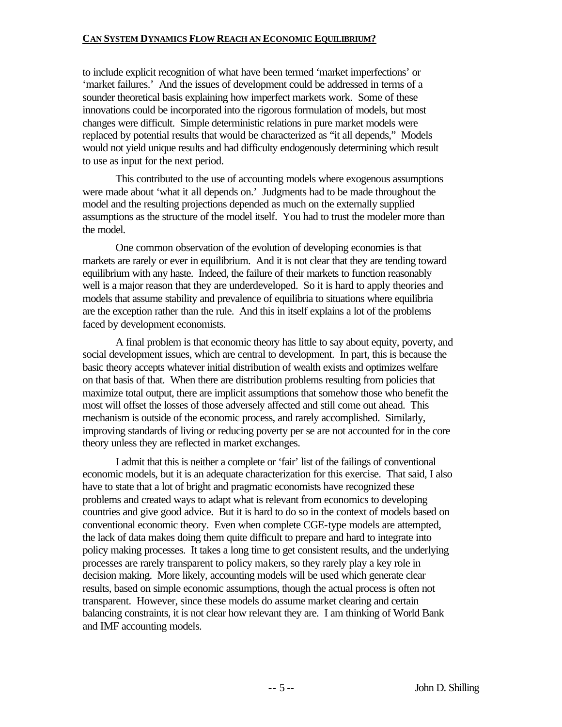to include explicit recognition of what have been termed 'market imperfections' or 'market failures.' And the issues of development could be addressed in terms of a sounder theoretical basis explaining how imperfect markets work. Some of these innovations could be incorporated into the rigorous formulation of models, but most changes were difficult. Simple deterministic relations in pure market models were replaced by potential results that would be characterized as "it all depends," Models would not yield unique results and had difficulty endogenously determining which result to use as input for the next period.

This contributed to the use of accounting models where exogenous assumptions were made about 'what it all depends on.' Judgments had to be made throughout the model and the resulting projections depended as much on the externally supplied assumptions as the structure of the model itself. You had to trust the modeler more than the model.

One common observation of the evolution of developing economies is that markets are rarely or ever in equilibrium. And it is not clear that they are tending toward equilibrium with any haste. Indeed, the failure of their markets to function reasonably well is a major reason that they are underdeveloped. So it is hard to apply theories and models that assume stability and prevalence of equilibria to situations where equilibria are the exception rather than the rule. And this in itself explains a lot of the problems faced by development economists.

A final problem is that economic theory has little to say about equity, poverty, and social development issues, which are central to development. In part, this is because the basic theory accepts whatever initial distribution of wealth exists and optimizes welfare on that basis of that. When there are distribution problems resulting from policies that maximize total output, there are implicit assumptions that somehow those who benefit the most will offset the losses of those adversely affected and still come out ahead. This mechanism is outside of the economic process, and rarely accomplished. Similarly, improving standards of living or reducing poverty per se are not accounted for in the core theory unless they are reflected in market exchanges.

I admit that this is neither a complete or 'fair' list of the failings of conventional economic models, but it is an adequate characterization for this exercise. That said, I also have to state that a lot of bright and pragmatic economists have recognized these problems and created ways to adapt what is relevant from economics to developing countries and give good advice. But it is hard to do so in the context of models based on conventional economic theory. Even when complete CGE-type models are attempted, the lack of data makes doing them quite difficult to prepare and hard to integrate into policy making processes. It takes a long time to get consistent results, and the underlying processes are rarely transparent to policy makers, so they rarely play a key role in decision making. More likely, accounting models will be used which generate clear results, based on simple economic assumptions, though the actual process is often not transparent. However, since these models do assume market clearing and certain balancing constraints, it is not clear how relevant they are. I am thinking of World Bank and IMF accounting models.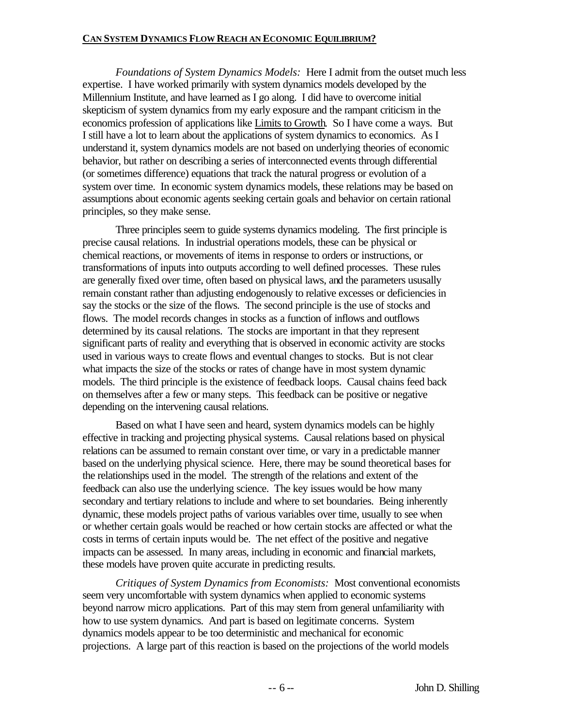*Foundations of System Dynamics Models:* Here I admit from the outset much less expertise. I have worked primarily with system dynamics models developed by the Millennium Institute, and have learned as I go along. I did have to overcome initial skepticism of system dynamics from my early exposure and the rampant criticism in the economics profession of applications like Limits to Growth. So I have come a ways. But I still have a lot to learn about the applications of system dynamics to economics. As I understand it, system dynamics models are not based on underlying theories of economic behavior, but rather on describing a series of interconnected events through differential (or sometimes difference) equations that track the natural progress or evolution of a system over time. In economic system dynamics models, these relations may be based on assumptions about economic agents seeking certain goals and behavior on certain rational principles, so they make sense.

Three principles seem to guide systems dynamics modeling. The first principle is precise causal relations. In industrial operations models, these can be physical or chemical reactions, or movements of items in response to orders or instructions, or transformations of inputs into outputs according to well defined processes. These rules are generally fixed over time, often based on physical laws, and the parameters ususally remain constant rather than adjusting endogenously to relative excesses or deficiencies in say the stocks or the size of the flows. The second principle is the use of stocks and flows. The model records changes in stocks as a function of inflows and outflows determined by its causal relations. The stocks are important in that they represent significant parts of reality and everything that is observed in economic activity are stocks used in various ways to create flows and eventual changes to stocks. But is not clear what impacts the size of the stocks or rates of change have in most system dynamic models. The third principle is the existence of feedback loops. Causal chains feed back on themselves after a few or many steps. This feedback can be positive or negative depending on the intervening causal relations.

Based on what I have seen and heard, system dynamics models can be highly effective in tracking and projecting physical systems. Causal relations based on physical relations can be assumed to remain constant over time, or vary in a predictable manner based on the underlying physical science. Here, there may be sound theoretical bases for the relationships used in the model. The strength of the relations and extent of the feedback can also use the underlying science. The key issues would be how many secondary and tertiary relations to include and where to set boundaries. Being inherently dynamic, these models project paths of various variables over time, usually to see when or whether certain goals would be reached or how certain stocks are affected or what the costs in terms of certain inputs would be. The net effect of the positive and negative impacts can be assessed. In many areas, including in economic and financial markets, these models have proven quite accurate in predicting results.

*Critiques of System Dynamics from Economists:* Most conventional economists seem very uncomfortable with system dynamics when applied to economic systems beyond narrow micro applications. Part of this may stem from general unfamiliarity with how to use system dynamics. And part is based on legitimate concerns. System dynamics models appear to be too deterministic and mechanical for economic projections. A large part of this reaction is based on the projections of the world models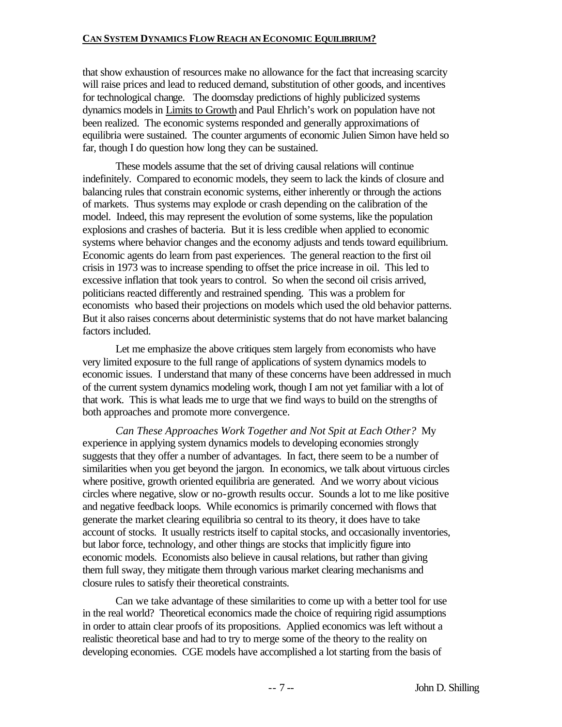that show exhaustion of resources make no allowance for the fact that increasing scarcity will raise prices and lead to reduced demand, substitution of other goods, and incentives for technological change. The doomsday predictions of highly publicized systems dynamics models in Limits to Growth and Paul Ehrlich's work on population have not been realized. The economic systems responded and generally approximations of equilibria were sustained. The counter arguments of economic Julien Simon have held so far, though I do question how long they can be sustained.

These models assume that the set of driving causal relations will continue indefinitely. Compared to economic models, they seem to lack the kinds of closure and balancing rules that constrain economic systems, either inherently or through the actions of markets. Thus systems may explode or crash depending on the calibration of the model. Indeed, this may represent the evolution of some systems, like the population explosions and crashes of bacteria. But it is less credible when applied to economic systems where behavior changes and the economy adjusts and tends toward equilibrium. Economic agents do learn from past experiences. The general reaction to the first oil crisis in 1973 was to increase spending to offset the price increase in oil. This led to excessive inflation that took years to control. So when the second oil crisis arrived, politicians reacted differently and restrained spending. This was a problem for economists who based their projections on models which used the old behavior patterns. But it also raises concerns about deterministic systems that do not have market balancing factors included.

Let me emphasize the above critiques stem largely from economists who have very limited exposure to the full range of applications of system dynamics models to economic issues. I understand that many of these concerns have been addressed in much of the current system dynamics modeling work, though I am not yet familiar with a lot of that work. This is what leads me to urge that we find ways to build on the strengths of both approaches and promote more convergence.

*Can These Approaches Work Together and Not Spit at Each Other?* My experience in applying system dynamics models to developing economies strongly suggests that they offer a number of advantages. In fact, there seem to be a number of similarities when you get beyond the jargon. In economics, we talk about virtuous circles where positive, growth oriented equilibria are generated. And we worry about vicious circles where negative, slow or no-growth results occur. Sounds a lot to me like positive and negative feedback loops. While economics is primarily concerned with flows that generate the market clearing equilibria so central to its theory, it does have to take account of stocks. It usually restricts itself to capital stocks, and occasionally inventories, but labor force, technology, and other things are stocks that implicitly figure into economic models. Economists also believe in causal relations, but rather than giving them full sway, they mitigate them through various market clearing mechanisms and closure rules to satisfy their theoretical constraints.

Can we take advantage of these similarities to come up with a better tool for use in the real world? Theoretical economics made the choice of requiring rigid assumptions in order to attain clear proofs of its propositions. Applied economics was left without a realistic theoretical base and had to try to merge some of the theory to the reality on developing economies. CGE models have accomplished a lot starting from the basis of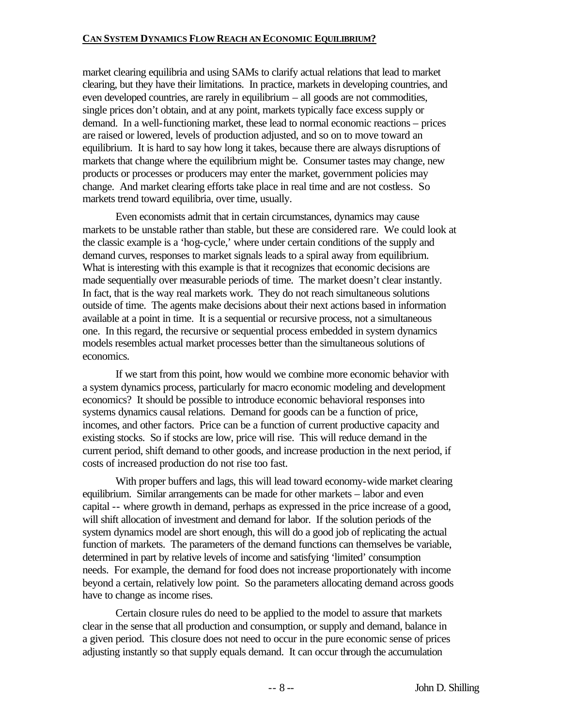market clearing equilibria and using SAMs to clarify actual relations that lead to market clearing, but they have their limitations. In practice, markets in developing countries, and even developed countries, are rarely in equilibrium – all goods are not commodities, single prices don't obtain, and at any point, markets typically face excess supply or demand. In a well-functioning market, these lead to normal economic reactions – prices are raised or lowered, levels of production adjusted, and so on to move toward an equilibrium. It is hard to say how long it takes, because there are always disruptions of markets that change where the equilibrium might be. Consumer tastes may change, new products or processes or producers may enter the market, government policies may change. And market clearing efforts take place in real time and are not costless. So markets trend toward equilibria, over time, usually.

Even economists admit that in certain circumstances, dynamics may cause markets to be unstable rather than stable, but these are considered rare. We could look at the classic example is a 'hog-cycle,' where under certain conditions of the supply and demand curves, responses to market signals leads to a spiral away from equilibrium. What is interesting with this example is that it recognizes that economic decisions are made sequentially over measurable periods of time. The market doesn't clear instantly. In fact, that is the way real markets work. They do not reach simultaneous solutions outside of time. The agents make decisions about their next actions based in information available at a point in time. It is a sequential or recursive process, not a simultaneous one. In this regard, the recursive or sequential process embedded in system dynamics models resembles actual market processes better than the simultaneous solutions of economics.

If we start from this point, how would we combine more economic behavior with a system dynamics process, particularly for macro economic modeling and development economics? It should be possible to introduce economic behavioral responses into systems dynamics causal relations. Demand for goods can be a function of price, incomes, and other factors. Price can be a function of current productive capacity and existing stocks. So if stocks are low, price will rise. This will reduce demand in the current period, shift demand to other goods, and increase production in the next period, if costs of increased production do not rise too fast.

With proper buffers and lags, this will lead toward economy-wide market clearing equilibrium. Similar arrangements can be made for other markets – labor and even capital -- where growth in demand, perhaps as expressed in the price increase of a good, will shift allocation of investment and demand for labor. If the solution periods of the system dynamics model are short enough, this will do a good job of replicating the actual function of markets. The parameters of the demand functions can themselves be variable, determined in part by relative levels of income and satisfying 'limited' consumption needs. For example, the demand for food does not increase proportionately with income beyond a certain, relatively low point. So the parameters allocating demand across goods have to change as income rises.

Certain closure rules do need to be applied to the model to assure that markets clear in the sense that all production and consumption, or supply and demand, balance in a given period. This closure does not need to occur in the pure economic sense of prices adjusting instantly so that supply equals demand. It can occur through the accumulation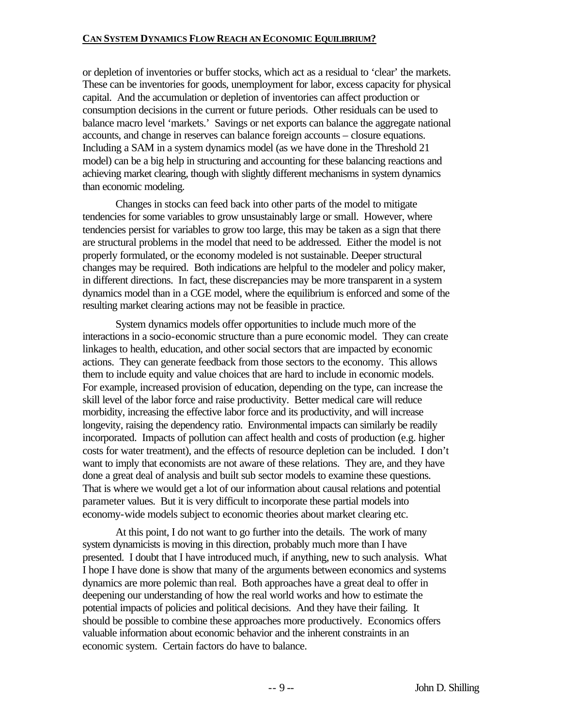or depletion of inventories or buffer stocks, which act as a residual to 'clear' the markets. These can be inventories for goods, unemployment for labor, excess capacity for physical capital. And the accumulation or depletion of inventories can affect production or consumption decisions in the current or future periods. Other residuals can be used to balance macro level 'markets.' Savings or net exports can balance the aggregate national accounts, and change in reserves can balance foreign accounts – closure equations. Including a SAM in a system dynamics model (as we have done in the Threshold 21 model) can be a big help in structuring and accounting for these balancing reactions and achieving market clearing, though with slightly different mechanisms in system dynamics than economic modeling.

Changes in stocks can feed back into other parts of the model to mitigate tendencies for some variables to grow unsustainably large or small. However, where tendencies persist for variables to grow too large, this may be taken as a sign that there are structural problems in the model that need to be addressed. Either the model is not properly formulated, or the economy modeled is not sustainable. Deeper structural changes may be required. Both indications are helpful to the modeler and policy maker, in different directions. In fact, these discrepancies may be more transparent in a system dynamics model than in a CGE model, where the equilibrium is enforced and some of the resulting market clearing actions may not be feasible in practice.

System dynamics models offer opportunities to include much more of the interactions in a socio-economic structure than a pure economic model. They can create linkages to health, education, and other social sectors that are impacted by economic actions. They can generate feedback from those sectors to the economy. This allows them to include equity and value choices that are hard to include in economic models. For example, increased provision of education, depending on the type, can increase the skill level of the labor force and raise productivity. Better medical care will reduce morbidity, increasing the effective labor force and its productivity, and will increase longevity, raising the dependency ratio. Environmental impacts can similarly be readily incorporated. Impacts of pollution can affect health and costs of production (e.g. higher costs for water treatment), and the effects of resource depletion can be included. I don't want to imply that economists are not aware of these relations. They are, and they have done a great deal of analysis and built sub sector models to examine these questions. That is where we would get a lot of our information about causal relations and potential parameter values. But it is very difficult to incorporate these partial models into economy-wide models subject to economic theories about market clearing etc.

At this point, I do not want to go further into the details. The work of many system dynamicists is moving in this direction, probably much more than I have presented. I doubt that I have introduced much, if anything, new to such analysis. What I hope I have done is show that many of the arguments between economics and systems dynamics are more polemic than real. Both approaches have a great deal to offer in deepening our understanding of how the real world works and how to estimate the potential impacts of policies and political decisions. And they have their failing. It should be possible to combine these approaches more productively. Economics offers valuable information about economic behavior and the inherent constraints in an economic system. Certain factors do have to balance.